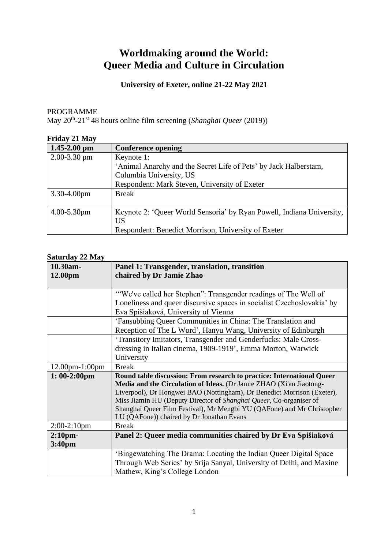# **Worldmaking around the World: Queer Media and Culture in Circulation**

## **University of Exeter, online 21-22 May 2021**

PROGRAMME

May 20th -21st 48 hours online film screening (*Shanghai Queer* (2019))

| <b>Friday 21 May</b> |                                                                       |
|----------------------|-----------------------------------------------------------------------|
| $1.45 - 2.00$ pm     | <b>Conference opening</b>                                             |
| $2.00 - 3.30$ pm     | Keynote 1:                                                            |
|                      | 'Animal Anarchy and the Secret Life of Pets' by Jack Halberstam,      |
|                      | Columbia University, US                                               |
|                      | Respondent: Mark Steven, University of Exeter                         |
| $3.30 - 4.00$ pm     | <b>Break</b>                                                          |
|                      |                                                                       |
| $4.00 - 5.30$ pm     | Keynote 2: 'Queer World Sensoria' by Ryan Powell, Indiana University, |
|                      | <b>US</b>                                                             |
|                      | Respondent: Benedict Morrison, University of Exeter                   |

## **Saturday 22 May**

| 10.30am-              | Panel 1: Transgender, translation, transition                           |
|-----------------------|-------------------------------------------------------------------------|
| 12.00pm               | chaired by Dr Jamie Zhao                                                |
|                       |                                                                         |
|                       | "We've called her Stephen": Transgender readings of The Well of         |
|                       | Loneliness and queer discursive spaces in socialist Czechoslovakia' by  |
|                       | Eva Spišiaková, University of Vienna                                    |
|                       | 'Fansubbing Queer Communities in China: The Translation and             |
|                       | Reception of The L Word', Hanyu Wang, University of Edinburgh           |
|                       | 'Transitory Imitators, Transgender and Genderfucks: Male Cross-         |
|                       | dressing in Italian cinema, 1909-1919', Emma Morton, Warwick            |
|                       | University                                                              |
| $12.00$ pm $-1:00$ pm | <b>Break</b>                                                            |
| $1:00-2:00$ pm        | Round table discussion: From research to practice: International Queer  |
|                       | Media and the Circulation of Ideas. (Dr Jamie ZHAO (Xi'an Jiaotong-     |
|                       | Liverpool), Dr Hongwei BAO (Nottingham), Dr Benedict Morrison (Exeter), |
|                       | Miss Jiamin HU (Deputy Director of Shanghai Queer, Co-organiser of      |
|                       | Shanghai Queer Film Festival), Mr Mengbi YU (QAFone) and Mr Christopher |
|                       | LU (QAFone)) chaired by Dr Jonathan Evans                               |
| $2:00-2:10$ pm        | <b>Break</b>                                                            |
| $2:10$ pm-            | Panel 2: Queer media communities chaired by Dr Eva Spišiaková           |
| 3:40 <sub>pm</sub>    |                                                                         |
|                       | 'Bingewatching The Drama: Locating the Indian Queer Digital Space       |
|                       | Through Web Series' by Srija Sanyal, University of Delhi, and Maxine    |
|                       | Mathew, King's College London                                           |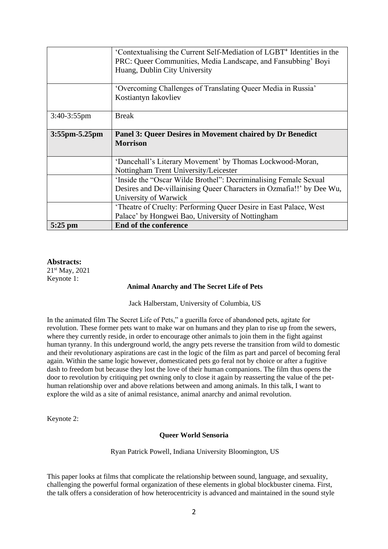|                      | 'Contextualising the Current Self-Mediation of LGBT <sup>+</sup> Identities in the<br>PRC: Queer Communities, Media Landscape, and Fansubbing' Boyi<br>Huang, Dublin City University |
|----------------------|--------------------------------------------------------------------------------------------------------------------------------------------------------------------------------------|
|                      |                                                                                                                                                                                      |
|                      | 'Overcoming Challenges of Translating Queer Media in Russia'                                                                                                                         |
|                      | Kostiantyn Iakovliev                                                                                                                                                                 |
|                      |                                                                                                                                                                                      |
| $3:40-3:55$ pm       | <b>Break</b>                                                                                                                                                                         |
|                      |                                                                                                                                                                                      |
| $3:55$ pm $-5.25$ pm | <b>Panel 3: Queer Desires in Movement chaired by Dr Benedict</b>                                                                                                                     |
|                      | <b>Morrison</b>                                                                                                                                                                      |
|                      |                                                                                                                                                                                      |
|                      | 'Dancehall's Literary Movement' by Thomas Lockwood-Moran,                                                                                                                            |
|                      |                                                                                                                                                                                      |
|                      | Nottingham Trent University/Leicester                                                                                                                                                |
|                      | 'Inside the "Oscar Wilde Brothel": Decriminalising Female Sexual                                                                                                                     |
|                      | Desires and De-villainising Queer Characters in Ozmafia!!' by Dee Wu,                                                                                                                |
|                      | University of Warwick                                                                                                                                                                |
|                      | 'Theatre of Cruelty: Performing Queer Desire in East Palace, West                                                                                                                    |
|                      | Palace' by Hongwei Bao, University of Nottingham                                                                                                                                     |

## **Abstracts:**

21st May, 2021 Keynote 1:

#### **Animal Anarchy and The Secret Life of Pets**

Jack Halberstam, University of Columbia, US

In the animated film The Secret Life of Pets," a guerilla force of abandoned pets, agitate for revolution. These former pets want to make war on humans and they plan to rise up from the sewers, where they currently reside, in order to encourage other animals to join them in the fight against human tyranny. In this underground world, the angry pets reverse the transition from wild to domestic and their revolutionary aspirations are cast in the logic of the film as part and parcel of becoming feral again. Within the same logic however, domesticated pets go feral not by choice or after a fugitive dash to freedom but because they lost the love of their human companions. The film thus opens the door to revolution by critiquing pet owning only to close it again by reasserting the value of the pethuman relationship over and above relations between and among animals. In this talk, I want to explore the wild as a site of animal resistance, animal anarchy and animal revolution.

Keynote 2:

#### **Queer World Sensoria**

Ryan Patrick Powell, Indiana University Bloomington, US

This paper looks at films that complicate the relationship between sound, language, and sexuality, challenging the powerful formal organization of these elements in global blockbuster cinema. First, the talk offers a consideration of how heterocentricity is advanced and maintained in the sound style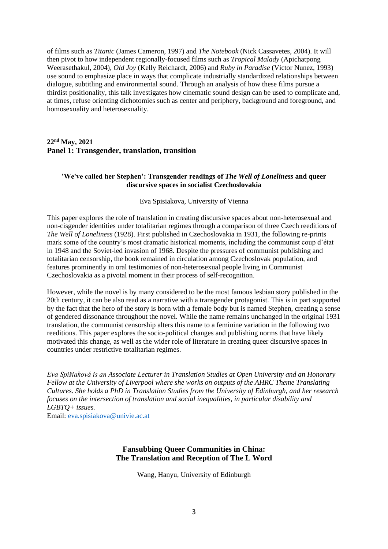of films such as *Titanic* (James Cameron, 1997) and *The Notebook* (Nick Cassavetes, 2004). It will then pivot to how independent regionally-focused films such as *Tropical Malady* (Apichatpong Weerasethakul, 2004), *Old Joy* (Kelly Reichardt, 2006) and *Ruby in Paradise* (Victor Nunez, 1993) use sound to emphasize place in ways that complicate industrially standardized relationships between dialogue, subtitling and environmental sound. Through an analysis of how these films pursue a thirdist positionality, this talk investigates how cinematic sound design can be used to complicate and, at times, refuse orienting dichotomies such as center and periphery, background and foreground, and homosexuality and heterosexuality.

## **22nd May, 2021 Panel 1: Transgender, translation, transition**

## **'We've called her Stephen': Transgender readings of** *The Well of Loneliness* **and queer discursive spaces in socialist Czechoslovakia**

#### Eva Spisiakova, University of Vienna

This paper explores the role of translation in creating discursive spaces about non-heterosexual and non-cisgender identities under totalitarian regimes through a comparison of three Czech reeditions of *The Well of Loneliness* (1928). First published in Czechoslovakia in 1931, the following re-prints mark some of the country's most dramatic historical moments, including the communist coup d'état in 1948 and the Soviet-led invasion of 1968. Despite the pressures of communist publishing and totalitarian censorship, the book remained in circulation among Czechoslovak population, and features prominently in oral testimonies of non-heterosexual people living in Communist Czechoslovakia as a pivotal moment in their process of self-recognition.

However, while the novel is by many considered to be the most famous lesbian story published in the 20th century, it can be also read as a narrative with a transgender protagonist. This is in part supported by the fact that the hero of the story is born with a female body but is named Stephen, creating a sense of gendered dissonance throughout the novel. While the name remains unchanged in the original 1931 translation, the communist censorship alters this name to a feminine variation in the following two reeditions. This paper explores the socio-political changes and publishing norms that have likely motivated this change, as well as the wider role of literature in creating queer discursive spaces in countries under restrictive totalitarian regimes.

*Eva Spišiaková is an Associate Lecturer in Translation Studies at Open University and an Honorary Fellow at the University of Liverpool where she works on outputs of the AHRC Theme Translating Cultures. She holds a PhD in Translation Studies from the University of Edinburgh, and her research focuses on the intersection of translation and social inequalities, in particular disability and LGBTQ+ issues.*

Email: [eva.spisiakova@univie.ac.at](mailto:eva.spisiakova@univie.ac.at)

## **Fansubbing Queer Communities in China: The Translation and Reception of The L Word**

Wang, Hanyu, University of Edinburgh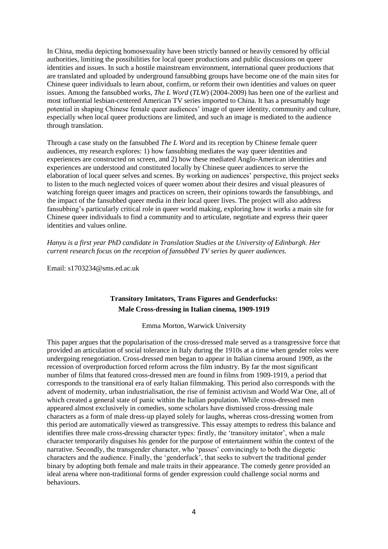In China, media depicting homosexuality have been strictly banned or heavily censored by official authorities, limiting the possibilities for local queer productions and public discussions on queer identities and issues. In such a hostile mainstream environment, international queer productions that are translated and uploaded by underground fansubbing groups have become one of the main sites for Chinese queer individuals to learn about, confirm, or reform their own identities and values on queer issues. Among the fansubbed works, *The L Word* (*TLW*) (2004-2009) has been one of the earliest and most influential lesbian-centered American TV series imported to China. It has a presumably huge potential in shaping Chinese female queer audiences' image of queer identity, community and culture, especially when local queer productions are limited, and such an image is mediated to the audience through translation.

Through a case study on the fansubbed *The L Word* and its reception by Chinese female queer audiences, my research explores: 1) how fansubbing mediates the way queer identities and experiences are constructed on screen, and 2) how these mediated Anglo-American identities and experiences are understood and constituted locally by Chinese queer audiences to serve the elaboration of local queer selves and scenes. By working on audiences' perspective, this project seeks to listen to the much neglected voices of queer women about their desires and visual pleasures of watching foreign queer images and practices on screen, their opinions towards the fansubbings, and the impact of the fansubbed queer media in their local queer lives. The project will also address fansubbing's particularly critical role in queer world making, exploring how it works a main site for Chinese queer individuals to find a community and to articulate, negotiate and express their queer identities and values online.

*Hanyu is a first year PhD candidate in Translation Studies at the University of Edinburgh. Her current research focus on the reception of fansubbed TV series by queer audiences.*

Email: s1703234@sms.ed.ac.uk

## **Transitory Imitators, Trans Figures and Genderfucks: Male Cross-dressing in Italian cinema, 1909-1919**

Emma Morton, Warwick University

This paper argues that the popularisation of the cross-dressed male served as a transgressive force that provided an articulation of social tolerance in Italy during the 1910s at a time when gender roles were undergoing renegotiation. Cross-dressed men began to appear in Italian cinema around 1909, as the recession of overproduction forced reform across the film industry. By far the most significant number of films that featured cross-dressed men are found in films from 1909-1919, a period that corresponds to the transitional era of early Italian filmmaking. This period also corresponds with the advent of modernity, urban industrialisation, the rise of feminist activism and World War One, all of which created a general state of panic within the Italian population. While cross-dressed men appeared almost exclusively in comedies, some scholars have dismissed cross-dressing male characters as a form of male dress-up played solely for laughs, whereas cross-dressing women from this period are automatically viewed as transgressive. This essay attempts to redress this balance and identifies three male cross-dressing character types: firstly, the 'transitory imitator', when a male character temporarily disguises his gender for the purpose of entertainment within the context of the narrative. Secondly, the transgender character, who 'passes' convincingly to both the diegetic characters and the audience. Finally, the 'genderfuck', that seeks to subvert the traditional gender binary by adopting both female and male traits in their appearance. The comedy genre provided an ideal arena where non-traditional forms of gender expression could challenge social norms and behaviours.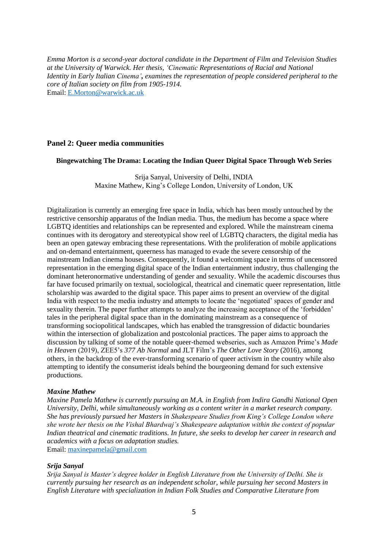*Emma Morton is a second-year doctoral candidate in the Department of Film and Television Studies at the University of Warwick. Her thesis, 'Cinematic Representations of Racial and National Identity in Early Italian Cinema', examines the representation of people considered peripheral to the core of Italian society on film from 1905-1914.* Email: [E.Morton@warwick.ac.uk](mailto:E.Morton@warwick.ac.uk)

## **Panel 2: Queer media communities**

#### **Bingewatching The Drama: Locating the Indian Queer Digital Space Through Web Series**

Srija Sanyal, University of Delhi, INDIA Maxine Mathew, King's College London, University of London, UK

Digitalization is currently an emerging free space in India, which has been mostly untouched by the restrictive censorship apparatus of the Indian media. Thus, the medium has become a space where LGBTQ identities and relationships can be represented and explored. While the mainstream cinema continues with its derogatory and stereotypical show reel of LGBTQ characters, the digital media has been an open gateway embracing these representations. With the proliferation of mobile applications and on-demand entertainment, queerness has managed to evade the severe censorship of the mainstream Indian cinema houses. Consequently, it found a welcoming space in terms of uncensored representation in the emerging digital space of the Indian entertainment industry, thus challenging the dominant heteronormative understanding of gender and sexuality. While the academic discourses thus far have focused primarily on textual, sociological, theatrical and cinematic queer representation, little scholarship was awarded to the digital space. This paper aims to present an overview of the digital India with respect to the media industry and attempts to locate the 'negotiated' spaces of gender and sexuality therein. The paper further attempts to analyze the increasing acceptance of the 'forbidden' tales in the peripheral digital space than in the dominating mainstream as a consequence of transforming sociopolitical landscapes, which has enabled the transgression of didactic boundaries within the intersection of globalization and postcolonial practices. The paper aims to approach the discussion by talking of some of the notable queer-themed webseries, such as Amazon Prime's *Made in Heaven* (2019), ZEE5's *377 Ab Normal* and JLT Film's *The Other Love Story* (2016), among others, in the backdrop of the ever-transforming scenario of queer activism in the country while also attempting to identify the consumerist ideals behind the bourgeoning demand for such extensive productions.

#### *Maxine Mathew*

*Maxine Pamela Mathew is currently pursuing an M.A. in English from Indira Gandhi National Open University, Delhi, while simultaneously working as a content writer in a market research company. She has previously pursued her Masters in Shakespeare Studies from King's College London where she wrote her thesis on the Vishal Bhardwaj's Shakespeare adaptation within the context of popular Indian theatrical and cinematic traditions. In future, she seeks to develop her career in research and academics with a focus on adaptation studies.* Email: [maxinepamela@gmail.com](mailto:maxinepamela@gmail.com)

#### *Srija Sanyal*

*Srija Sanyal is Master's degree holder in English Literature from the University of Delhi. She is currently pursuing her research as an independent scholar, while pursuing her second Masters in English Literature with specialization in Indian Folk Studies and Comparative Literature from*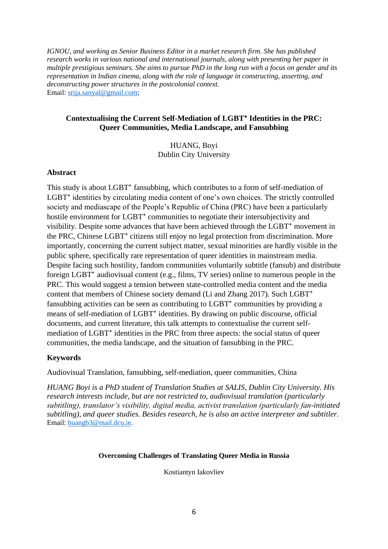*IGNOU, and working as Senior Business Editor in a market research firm. She has published research works in various national and international journals, along with presenting her paper in multiple prestigious seminars. She aims to pursue PhD in the long run with a focus on gender and its representation in Indian cinema, along with the role of language in constructing, asserting, and deconstructing power structures in the postcolonial context.* Email: [srija.sanyal@gmail.com;](mailto:srija.sanyal@gmail.com)

## **Contextualising the Current Self-Mediation of LGBT**⁺ **Identities in the PRC: Queer Communities, Media Landscape, and Fansubbing**

HUANG, Boyi Dublin City University

## **Abstract**

This study is about LGBT<sup>+</sup> fansubbing, which contributes to a form of self-mediation of LGBT<sup>+</sup> identities by circulating media content of one's own choices. The strictly controlled society and mediascape of the People's Republic of China (PRC) have been a particularly hostile environment for LGBT<sup>+</sup> communities to negotiate their intersubjectivity and visibility. Despite some advances that have been achieved through the LGBT<sup>+</sup> movement in the PRC, Chinese LGBT<sup>+</sup> citizens still enjoy no legal protection from discrimination. More importantly, concerning the current subject matter, sexual minorities are hardly visible in the public sphere, specifically rare representation of queer identities in mainstream media. Despite facing such hostility, fandom communities voluntarily subtitle (fansub) and distribute foreign LGBT<sup>+</sup> audiovisual content (e.g., films, TV series) online to numerous people in the PRC. This would suggest a tension between state-controlled media content and the media content that members of Chinese society demand (Li and Zhang 2017). Such LGBT<sup>+</sup> fansubbing activities can be seen as contributing to LGBT<sup>+</sup> communities by providing a means of self-mediation of LGBT<sup>+</sup> identities. By drawing on public discourse, official documents, and current literature, this talk attempts to contextualise the current selfmediation of LGBT<sup>+</sup> identities in the PRC from three aspects: the social status of queer communities, the media landscape, and the situation of fansubbing in the PRC.

## **Keywords**

Audiovisual Translation, fansubbing, self-mediation, queer communities, China

*HUANG Boyi is a PhD student of Translation Studies at SALIS, Dublin City University. His research interests include, but are not restricted to, audiovisual translation (particularly subtitling), translator's visibility, digital media, activist translation (particularly fan-initiated subtitling), and queer studies. Besides research, he is also an active interpreter and subtitler.*  Email: [huangb3@mail.dcu.ie.](mailto:huangb3@mail.dcu.ie)

## **Overcoming Challenges of Translating Queer Media in Russia**

Kostiantyn Iakovliev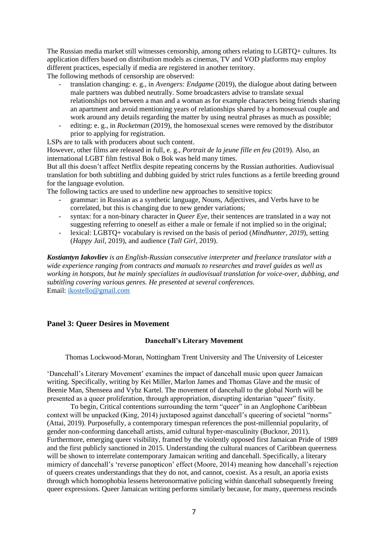The Russian media market still witnesses censorship, among others relating to LGBTQ+ cultures. Its application differs based on distribution models as cinemas, TV and VOD platforms may employ different practices, especially if media are registered in another territory.

The following methods of censorship are observed:

- translation changing: e. g., in *Avengers: Endgame* (2019), the dialogue about dating between male partners was dubbed neutrally. Some broadcasters advise to translate sexual relationships not between a man and a woman as for example characters being friends sharing an apartment and avoid mentioning years of relationships shared by a homosexual couple and work around any details regarding the matter by using neutral phrases as much as possible;
- editing: e. g., in *Rocketman* (2019), the homosexual scenes were removed by the distributor prior to applying for registration.

LSPs are to talk with producers about such content.

However, other films are released in full, e. g., *Portrait de la jeune fille en feu* (2019). Also, an international LGBT film festival Bok o Bok was held many times.

But all this doesn't affect Netflix despite repeating concerns by the Russian authorities. Audiovisual translation for both subtitling and dubbing guided by strict rules functions as a fertile breeding ground for the language evolution.

The following tactics are used to underline new approaches to sensitive topics:

- grammar: in Russian as a synthetic language, Nouns, Adjectives, and Verbs have to be correlated, but this is changing due to new gender variations;
- syntax: for a non-binary character in *Queer Eye*, their sentences are translated in a way not suggesting referring to oneself as either a male or female if not implied so in the original;
- lexical: LGBTQ+ vocabulary is revised on the basis of period (*Mindhunter*, 2019), setting (*Happy Jail*, 2019), and audience (*Tall Girl*, 2019).

*Kostiantyn Iakovliev is an English-Russian consecutive interpreter and freelance translator with a wide experience ranging from contracts and manuals to researches and travel guides as well as working in hotspots, but he mainly specializes in audiovisual translation for voice-over, dubbing, and subtitling covering various genres. He presented at several conferences.* Email: [ikostello@gmail.com](mailto:ikostello@gmail.com)

## **Panel 3: Queer Desires in Movement**

## **Dancehall's Literary Movement**

Thomas Lockwood-Moran, Nottingham Trent University and The University of Leicester

'Dancehall's Literary Movement' examines the impact of dancehall music upon queer Jamaican writing. Specifically, writing by Kei Miller, Marlon James and Thomas Glave and the music of Beenie Man, Shenseea and Vybz Kartel. The movement of dancehall to the global North will be presented as a queer proliferation, through appropriation, disrupting identarian "queer" fixity.

To begin, Critical contentions surrounding the term "queer" in an Anglophone Caribbean context will be unpacked (King, 2014) juxtaposed against dancehall's queering of societal "norms" (Attai, 2019). Purposefully, a contemporary timespan references the post-millennial popularity, of gender non-conforming dancehall artists, amid cultural hyper-masculinity (Bucknor, 2011). Furthermore, emerging queer visibility, framed by the violently opposed first Jamaican Pride of 1989 and the first publicly sanctioned in 2015. Understanding the cultural nuances of Caribbean queerness will be shown to interrelate contemporary Jamaican writing and dancehall. Specifically, a literary mimicry of dancehall's 'reverse panopticon' effect (Moore, 2014) meaning how dancehall's rejection of queers creates understandings that they do not, and cannot, coexist. As a result, an aporia exists through which homophobia lessens heteronormative policing within dancehall subsequently freeing queer expressions. Queer Jamaican writing performs similarly because, for many, queerness rescinds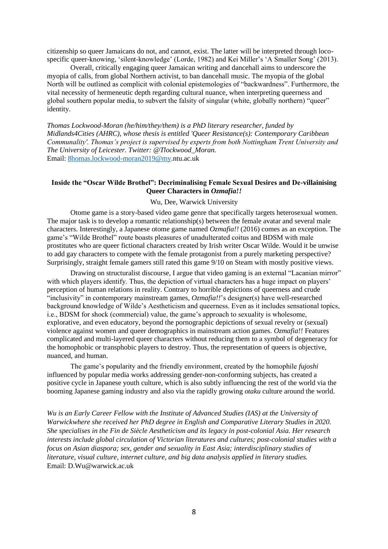citizenship so queer Jamaicans do not, and cannot, exist. The latter will be interpreted through locospecific queer-knowing, 'silent-knowledge' (Lorde, 1982) and Kei Miller's 'A Smaller Song' (2013).

Overall, critically engaging queer Jamaican writing and dancehall aims to underscore the myopia of calls, from global Northern activist, to ban dancehall music. The myopia of the global North will be outlined as complicit with colonial epistemologies of "backwardness". Furthermore, the vital necessity of hermeneutic depth regarding cultural nuance, when interpreting queerness and global southern popular media, to subvert the falsity of singular (white, globally northern) "queer" identity.

*Thomas Lockwood-Moran (he/him/they/them) is a PhD literary researcher, funded by Midlands4Cities (AHRC), whose thesis is entitled 'Queer Resistance(s): Contemporary Caribbean Communality'. Thomas's project is supervised by experts from both Nottingham Trent University and The University of Leicester. Twitter: @Tlockwood\_Moran.* Email: [8homas.lockwood-moran2019@my.](mailto:)ntu.ac.uk

## **Inside the "Oscar Wilde Brothel": Decriminalising Female Sexual Desires and De-villainising Queer Characters in** *Ozmafia!!*

#### Wu, Dee, Warwick University

Otome game is a story-based video game genre that specifically targets heterosexual women. The major task is to develop a romantic relationship(s) between the female avatar and several male characters. Interestingly, a Japanese otome game named *Ozmafia!!* (2016) comes as an exception. The game's "Wilde Brothel" route boasts pleasures of unadulterated coitus and BDSM with male prostitutes who are queer fictional characters created by Irish writer Oscar Wilde. Would it be unwise to add gay characters to compete with the female protagonist from a purely marketing perspective? Surprisingly, straight female gamers still rated this game 9/10 on Steam with mostly positive views.

Drawing on structuralist discourse, I argue that video gaming is an external "Lacanian mirror" with which players identify. Thus, the depiction of virtual characters has a huge impact on players' perception of human relations in reality. Contrary to horrible depictions of queerness and crude "inclusivity" in contemporary mainstream games, *Ozmafia!!*'s designer(s) have well-researched background knowledge of Wilde's Aestheticism and queerness. Even as it includes sensational topics, i.e., BDSM for shock (commercial) value, the game's approach to sexuality is wholesome, explorative, and even educatory, beyond the pornographic depictions of sexual revelry or (sexual) violence against women and queer demographics in mainstream action games. *Ozmafia!!* Features complicated and multi-layered queer characters without reducing them to a symbol of degeneracy for the homophobic or transphobic players to destroy. Thus, the representation of queers is objective, nuanced, and human.

The game's popularity and the friendly environment, created by the homophile *fujoshi*  influenced by popular media works addressing gender-non-conforming subjects, has created a positive cycle in Japanese youth culture, which is also subtly influencing the rest of the world via the booming Japanese gaming industry and also via the rapidly growing *otaku* culture around the world.

*Wu is an Early Career Fellow with the Institute of Advanced Studies (IAS) at the University of Warwickwhere she received her PhD degree in English and Comparative Literary Studies in 2020. She specialises in the Fin de Siècle Aestheticism and its legacy in post-colonial Asia. Her research interests include global circulation of Victorian literatures and cultures; post-colonial studies with a focus on Asian diaspora; sex, gender and sexuality in East Asia; interdisciplinary studies of literature, visual culture, internet culture, and big data analysis applied in literary studies.* Email: D.Wu@warwick.ac.uk